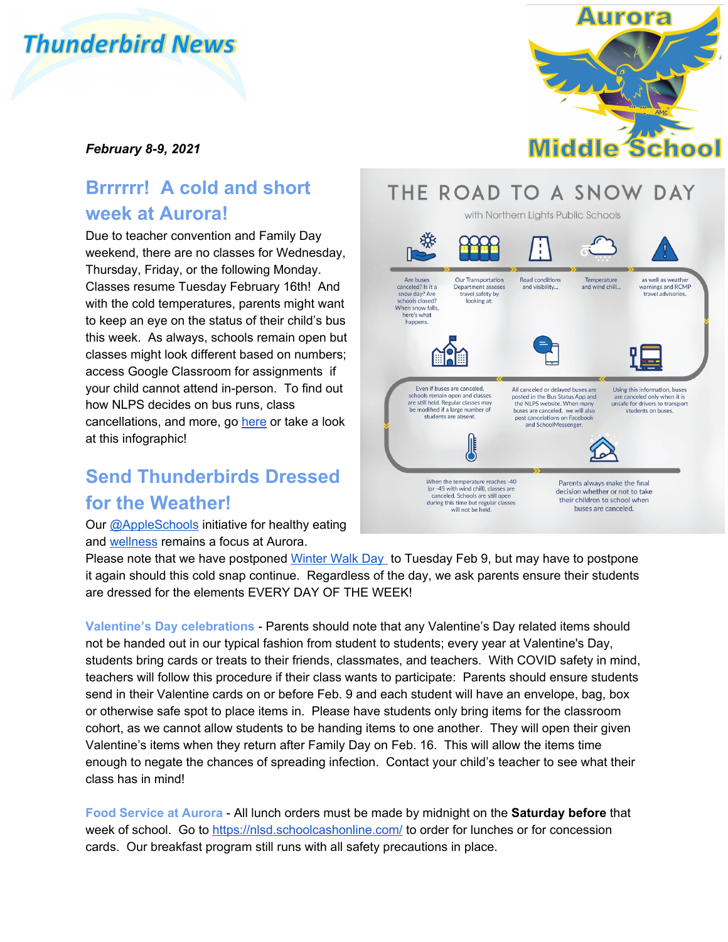# **Thunderbird News**



#### *February 8-9, 2021*

### **Brrrrrr! A cold and short week at Aurora!**

Due to teacher convention and Family Day weekend, there are no classes for Wednesday, Thursday, Friday, or the following Monday. Classes resume Tuesday February 16th! And with the cold temperatures, parents might want to keep an eye on the status of their child's bus this week. As always, schools remain open but classes might look different based on numbers; access Google Classroom for assignments if your child cannot attend in-person. To find out how NLPS decides on bus runs, class cancellations, and more, go [here](https://www.nlpsab.ca/our-division/news/post/its-snowing-what-happens-now) or take a look at this infographic!

#### **Send Thunderbirds Dressed for the Weather!**

Our [@AppleSchools](http://www.appleschools.ca/) initiative for healthy eating and [wellness](https://www.nlpsab.ca/mental-health) remains a focus at Aurora.

## THE ROAD TO A SNOW DAY



Please note that we have postponed [Winter Walk Day](https://shapeab.com/winter-walk-day/) to Tuesday Feb 9, but may have to postpone it again should this cold snap continue. Regardless of the day, we ask parents ensure their students are dressed for the elements EVERY DAY OF THE WEEK!

**Valentine's Day celebrations** - Parents should note that any Valentine's Day related items should not be handed out in our typical fashion from student to students; every year at Valentine's Day, students bring cards or treats to their friends, classmates, and teachers. With COVID safety in mind, teachers will follow this procedure if their class wants to participate: Parents should ensure students send in their Valentine cards on or before Feb. 9 and each student will have an envelope, bag, box or otherwise safe spot to place items in. Please have students only bring items for the classroom cohort, as we cannot allow students to be handing items to one another. They will open their given Valentine's items when they return after Family Day on Feb. 16. This will allow the items time enough to negate the chances of spreading infection. Contact your child's teacher to see what their class has in mind!

**Food Service at Aurora** - All lunch orders must be made by midnight on the **Saturday before** that week of school. Go to<https://nlsd.schoolcashonline.com/>to order for lunches or for concession cards. Our breakfast program still runs with all safety precautions in place.